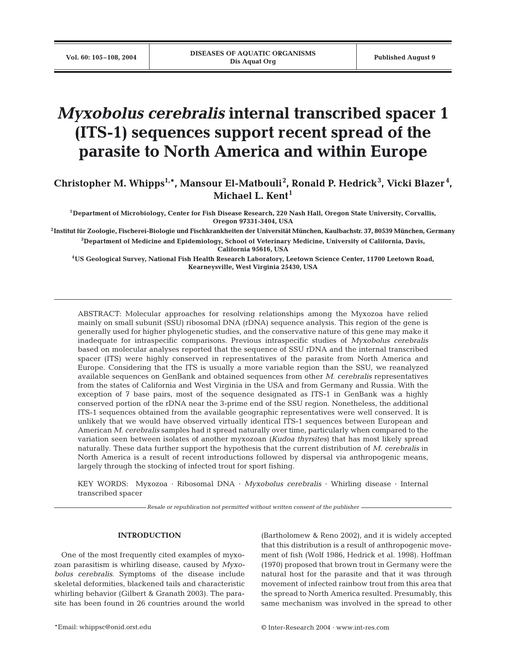# *Myxobolus cerebralis* **internal transcribed spacer 1 (ITS-1) sequences support recent spread of the parasite to North America and within Europe**

**Christopher M. Whipps1,\*, Mansour El-Matbouli2 , Ronald P. Hedrick<sup>3</sup> , Vicki Blazer <sup>4</sup> , Michael L. Kent<sup>1</sup>**

**1Department of Microbiology, Center for Fish Disease Research, 220 Nash Hall, Oregon State University, Corvallis, Oregon 97331-3404, USA**

**2Institut für Zoologie, Fischerei-Biologie und Fischkrankheiten der Universität München, Kaulbachstr. 37, 80539 München, Germany 3Department of Medicine and Epidemiology, School of Veterinary Medicine, University of California, Davis, California 95616, USA**

**4US Geological Survey, National Fish Health Research Laboratory, Leetown Science Center, 11700 Leetown Road, Kearneysville, West Virginia 25430, USA**

ABSTRACT: Molecular approaches for resolving relationships among the Myxozoa have relied mainly on small subunit (SSU) ribosomal DNA (rDNA) sequence analysis. This region of the gene is generally used for higher phylogenetic studies, and the conservative nature of this gene may make it inadequate for intraspecific comparisons. Previous intraspecific studies of *Myxobolus cerebralis* based on molecular analyses reported that the sequence of SSU rDNA and the internal transcribed spacer (ITS) were highly conserved in representatives of the parasite from North America and Europe. Considering that the ITS is usually a more variable region than the SSU, we reanalyzed available sequences on GenBank and obtained sequences from other *M. cerebralis* representatives from the states of California and West Virginia in the USA and from Germany and Russia. With the exception of 7 base pairs, most of the sequence designated as ITS-1 in GenBank was a highly conserved portion of the rDNA near the 3-prime end of the SSU region. Nonetheless, the additional ITS-1 sequences obtained from the available geographic representatives were well conserved. It is unlikely that we would have observed virtually identical ITS-1 sequences between European and American *M. cerebralis* samples had it spread naturally over time, particularly when compared to the variation seen between isolates of another myxozoan (*Kudoa thyrsites*) that has most likely spread naturally. These data further support the hypothesis that the current distribution of *M. cerebralis* in North America is a result of recent introductions followed by dispersal via anthropogenic means, largely through the stocking of infected trout for sport fishing.

KEY WORDS: Myxozoa · Ribosomal DNA · *Myxobolus cerebralis* · Whirling disease · Internal transcribed spacer

*Resale or republication not permitted without written consent of the publisher*

## **INTRODUCTION**

One of the most frequently cited examples of myxozoan parasitism is whirling disease, caused by *Myxobolus cerebralis*. Symptoms of the disease include skeletal deformities, blackened tails and characteristic whirling behavior (Gilbert & Granath 2003). The parasite has been found in 26 countries around the world (Bartholomew & Reno 2002), and it is widely accepted that this distribution is a result of anthropogenic movement of fish (Wolf 1986, Hedrick et al. 1998). Hoffman (1970) proposed that brown trout in Germany were the natural host for the parasite and that it was through movement of infected rainbow trout from this area that the spread to North America resulted. Presumably, this same mechanism was involved in the spread to other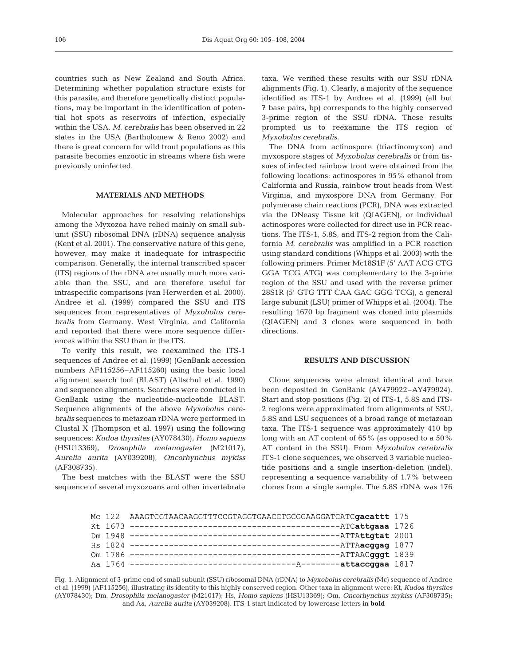countries such as New Zealand and South Africa. Determining whether population structure exists for this parasite, and therefore genetically distinct populations, may be important in the identification of potential hot spots as reservoirs of infection, especially within the USA. *M. cerebralis* has been observed in 22 states in the USA (Bartholomew & Reno 2002) and there is great concern for wild trout populations as this parasite becomes enzootic in streams where fish were previously uninfected.

## **MATERIALS AND METHODS**

Molecular approaches for resolving relationships among the Myxozoa have relied mainly on small subunit (SSU) ribosomal DNA (rDNA) sequence analysis (Kent et al. 2001). The conservative nature of this gene, however, may make it inadequate for intraspecific comparison. Generally, the internal transcribed spacer (ITS) regions of the rDNA are usually much more variable than the SSU, and are therefore useful for intraspecific comparisons (van Herwerden et al. 2000). Andree et al. (1999) compared the SSU and ITS sequences from representatives of *Myxobolus cerebralis* from Germany, West Virginia, and California and reported that there were more sequence differences within the SSU than in the ITS.

To verify this result, we reexamined the ITS-1 sequences of Andree et al. (1999) (GenBank accession numbers AF115256–AF115260) using the basic local alignment search tool (BLAST) (Altschul et al. 1990) and sequence alignments. Searches were conducted in GenBank using the nucleotide-nucleotide BLAST. Sequence alignments of the above *Myxobolus cerebralis* sequences to metazoan rDNA were performed in Clustal X (Thompson et al. 1997) using the following sequences: *Kudoa thyrsites* (AY078430), *Homo sapiens* (HSU13369), *Drosophila melanogaster* (M21017), *Aurelia aurita* (AY039208), *Oncorhynchus mykiss* (AF308735).

The best matches with the BLAST were the SSU sequence of several myxozoans and other invertebrate taxa. We verified these results with our SSU rDNA alignments (Fig. 1). Clearly, a majority of the sequence identified as ITS-1 by Andree et al. (1999) (all but 7 base pairs, bp) corresponds to the highly conserved 3-prime region of the SSU rDNA. These results prompted us to reexamine the ITS region of *Myxobolus cerebralis*.

The DNA from actinospore (triactinomyxon) and myxospore stages of *Myxobolus cerebralis* or from tissues of infected rainbow trout were obtained from the following locations: actinospores in 95% ethanol from California and Russia, rainbow trout heads from West Virginia, and myxospore DNA from Germany. For polymerase chain reactions (PCR), DNA was extracted via the DNeasy Tissue kit (QIAGEN), or individual actinospores were collected for direct use in PCR reactions. The ITS-1, 5.8S, and ITS-2 region from the California *M. cerebralis* was amplified in a PCR reaction using standard conditions (Whipps et al. 2003) with the following primers. Primer Mc18S1F (5' AAT ACG CTG GGA TCG ATG) was complementary to the 3-prime region of the SSU and used with the reverse primer 28S1R (5' GTG TTT CAA GAC GGG TCG), a general large subunit (LSU) primer of Whipps et al. (2004). The resulting 1670 bp fragment was cloned into plasmids (QIAGEN) and 3 clones were sequenced in both directions.

#### **RESULTS AND DISCUSSION**

Clone sequences were almost identical and have been deposited in GenBank (AY479922–AY479924). Start and stop positions (Fig. 2) of ITS-1, 5.8S and ITS-2 regions were approximated from alignments of SSU, 5.8S and LSU sequences of a broad range of metazoan taxa. The ITS-1 sequence was approximately 410 bp long with an AT content of 65% (as opposed to a 50% AT content in the SSU). From *Myxobolus cerebralis* ITS-1 clone sequences, we observed 3 variable nucleotide positions and a single insertion-deletion (indel), representing a sequence variability of 1.7% between clones from a single sample. The 5.8S rDNA was 176

|  | Mc 122 AAAGTCGTAACAAGGTTTCCGTAGGTGAACCTGCGGAAGGATCATCgacattt 175 |  |
|--|------------------------------------------------------------------|--|
|  |                                                                  |  |
|  |                                                                  |  |
|  |                                                                  |  |
|  |                                                                  |  |
|  |                                                                  |  |

Fig. 1. Alignment of 3-prime end of small subunit (SSU) ribosomal DNA (rDNA) to *Myxobolus cerebralis* (Mc) sequence of Andree et al. (1999) (AF115256), illustrating its identity to this highly conserved region. Other taxa in alignment were: Kt, *Kudoa thyrsites* (AY078430); Dm, *Drosophila melanogaster* (M21017); Hs, *Homo sapiens* (HSU13369); Om, *Oncorhynchus mykiss* (AF308735); and Aa, *Aurelia aurita* (AY039208). ITS-1 start indicated by lowercase letters in **bold**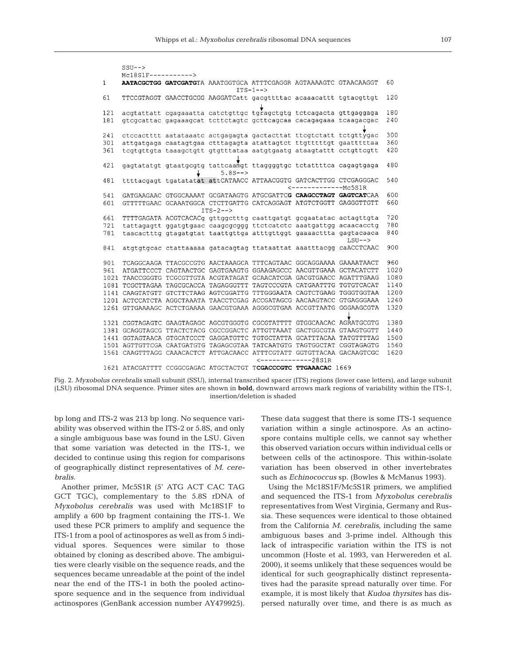```
CCTI = -\sqrt{2}MC18S1F---------\mathbf{1}AATACGCTGG GATCGATGTA AAATGGTGCA ATTTCGAGGR AGTAAAAGTC GTAACAAGGT
                                                                         60ITS-1--61
    TTCCGTAGGT GAACCTGCGG AAGGATCatt gacgttttac acaaacattt tgtacgttgt 120
    acgtattatt cgagaaatta catctgttgc tgragctgtg tctcagacta gttgaggaga
121
                                                                         180
181
    gtcgcattac gagaaagcat tcttctagtc gcttcagcaa cacagagaaa tcaagacgac
                                                                          240ctccactttt aatataaatc actgagagta gactacttat ttcgtctatt tctgttygac
                                                                          300241
     attgatgaga caatagtgaa ctttagagta atattagtct ttgtttttgt gaatttttaa
                                                                          360
301tcgtgttgta taaagctgtt gtgtttataa aatgtgaatg ataagtattt cctgttcgtt
                                                                          420
361
421
     gagtatatgt gtaatgcgtg tattcaamgt ttaggggtgc tctattttca cagagtgaga
                                                                          480
                              5.8S--481
     ttttacqaqt tqatatatat attCATAACC ATTAACGGTG GATCACTTGG CTCGAGGGAC
                                                                          540
                                                \leftarrow --------------- Mc5S1R
                                                                          600GATGAAGAAC GTGGCAAAAT GCGATAAGTG ATGCGATTCG CAAGCCTAGT GAGTCATCAA
541
601
    GTTTTTGAAC GCAAATGGCA CTCTTGATTG CATCAGGAGT ATGTCTGGTT GAGGGTTGTT
                                                                          660
                         ITS-2--661 TTTTGAGATA ACGTCACACg gttggctttg caattgatgt gcgaatatac actagttgta
                                                                          720
                                                                          780
721
    tattagagtt ggatgtgaac caagcgcggg ttctcatctc aaatgattgg acaacacctg
781
     taacactttg gtagatgtat taattgttga atttgttggt gaaaacttta gagtacaaca
                                                                          840
                                                               LSU--900
     atgtgtgcac ctattaaaaa gatacagtag ttataattat aaatttacgg caACCTCAAC
841
901TCAGGCAAGA TTACGCCGTG AACTAAAGCA TTTCAGTAAC GGCAGGAAAA GAAAATAACT
                                                                          960
961
    ATGATTCCCT CAGTAACTGC GAGTGAAGTG GGAAGAGCCC AACGTTGAAA GCTACATCTT
                                                                          1020
                                                                          1080
1021 TAACCGGGTG TCGCGTTGTA ACGTATAGAT GCAACATCGA GACGTGAACC AGATTTGAAG
1081 TCGCTTAGAA TAGCGCACCA TAGAGGGTTT TAGTCCCGTA CATGAATTTG TGTGTCACAT
                                                                          1140
1141 CAAGTATGTT GTCTTCTAAG AGTCGGATTG TTTGGGAATA CAGTCTGAAG TGGGTGGTAA
                                                                          1200
                                                                          1260
1201 ACTCCATCTA AGGCTAAATA TAACCTCGAG ACCGATAGCG AACAAGTACC GTGAGGGAAA
1261 GTTGAAAAGC ACTCTGAAAA GAACGTGAAA AGGGCGTGAA ACCGTTAATG GGGAAGCGTA
                                                                          1320
1321 CGGTAGAGTC GAAGTAGAGC AGCGTGGGTG CGCGTATTTT GTGGCAACAC AGRATGCGTG
                                                                          1380
1381 GCAGGTAGCG TTACTCTACG CGCCGGACTC ATTGTTAAAT GACTGGCGTA GTAAGTGGTT
                                                                          1440
1441 GGTAGTAACA GTGCATCCCT GAGGATGTTC TGTGCTATTA GCATTTACAA TATGTTTTAG
                                                                          1500
1501 AGTTGTTCGA CAATGATGTG TAGAGCGTAA TATCAATGTG TAGTGGCTAT CGGTAGAGTG
                                                                          1560
1561 CAAGTTTAGG CAAACACTCT ATTGACAACC ATTTCGTATT GGTGTTACAA GACAAGTCGC
                                                                          1620
                                        \leftarrow -------------28S1R
1621 ATACGATTTT CCGGCGAGAC ATGCTACTGT TCGACCCGTC TTGAAACAC 1669
```
Fig. 2. *Myxobolus cerebralis* small subunit (SSU), internal transcribed spacer (ITS) regions (lower case letters), and large subunit (LSU) ribosomal DNA sequence. Primer sites are shown in **bold**, downward arrows mark regions of variability within the ITS-1, insertion/deletion is shaded

bp long and ITS-2 was 213 bp long. No sequence variability was observed within the ITS-2 or 5.8S, and only a single ambiguous base was found in the LSU. Given that some variation was detected in the ITS-1, we decided to continue using this region for comparisons of geographically distinct representatives of *M. cerebralis*.

Another primer, Mc5S1R (5' ATG ACT CAC TAG GCT TGC), complementary to the 5.8S rDNA of *Myxobolus cerebralis* was used with Mc18S1F to amplify a 600 bp fragment containing the ITS-1. We used these PCR primers to amplify and sequence the ITS-1 from a pool of actinospores as well as from 5 individual spores. Sequences were similar to those obtained by cloning as described above. The ambiguities were clearly visible on the sequence reads, and the sequences became unreadable at the point of the indel near the end of the ITS-1 in both the pooled actinospore sequence and in the sequence from individual actinospores (GenBank accession number AY479925).

These data suggest that there is some ITS-1 sequence variation within a single actinospore. As an actinospore contains multiple cells, we cannot say whether this observed variation occurs within individual cells or between cells of the actinospore. This within-isolate variation has been observed in other invertebrates such as *Echinococcus* sp. (Bowles & McManus 1993).

Using the Mc18S1F/Mc5S1R primers, we amplified and sequenced the ITS-1 from *Myxobolus cerebralis* representatives from West Virginia, Germany and Russia. These sequences were identical to those obtained from the California *M. cerebralis*, including the same ambiguous bases and 3-prime indel. Although this lack of intraspecific variation within the ITS is not uncommon (Hoste et al. 1993, van Herwereden et al. 2000), it seems unlikely that these sequences would be identical for such geographically distinct representatives had the parasite spread naturally over time. For example, it is most likely that *Kudoa thyrsites* has dispersed naturally over time, and there is as much as